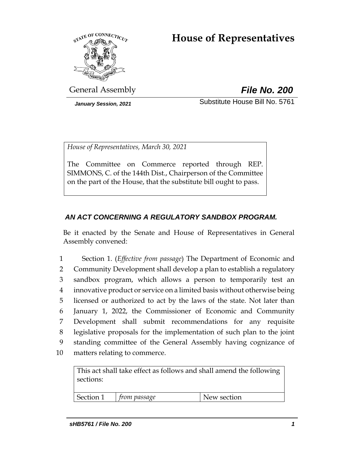# **House of Representatives**



General Assembly *File No. 200*

*January Session, 2021* Substitute House Bill No. 5761

*House of Representatives, March 30, 2021*

The Committee on Commerce reported through REP. SIMMONS, C. of the 144th Dist., Chairperson of the Committee on the part of the House, that the substitute bill ought to pass.

## *AN ACT CONCERNING A REGULATORY SANDBOX PROGRAM.*

Be it enacted by the Senate and House of Representatives in General Assembly convened:

 Section 1. (*Effective from passage*) The Department of Economic and Community Development shall develop a plan to establish a regulatory sandbox program, which allows a person to temporarily test an innovative product or service on a limited basis without otherwise being licensed or authorized to act by the laws of the state. Not later than January 1, 2022, the Commissioner of Economic and Community Development shall submit recommendations for any requisite legislative proposals for the implementation of such plan to the joint standing committee of the General Assembly having cognizance of matters relating to commerce.

This act shall take effect as follows and shall amend the following sections:

Section 1 *from passage* New section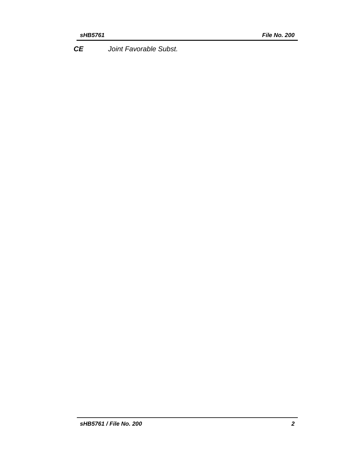*CE Joint Favorable Subst.*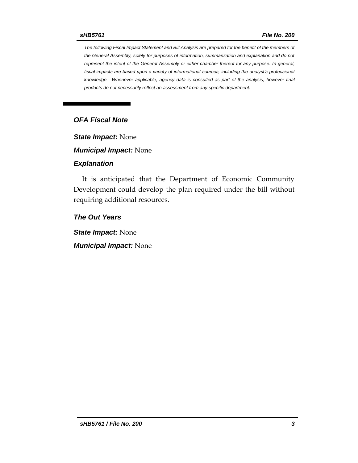*The following Fiscal Impact Statement and Bill Analysis are prepared for the benefit of the members of the General Assembly, solely for purposes of information, summarization and explanation and do not represent the intent of the General Assembly or either chamber thereof for any purpose. In general, fiscal impacts are based upon a variety of informational sources, including the analyst's professional knowledge. Whenever applicable, agency data is consulted as part of the analysis, however final products do not necessarily reflect an assessment from any specific department.*

### *OFA Fiscal Note*

*State Impact:* None

*Municipal Impact:* None

#### *Explanation*

It is anticipated that the Department of Economic Community Development could develop the plan required under the bill without requiring additional resources.

*The Out Years*

*State Impact:* None

*Municipal Impact:* None